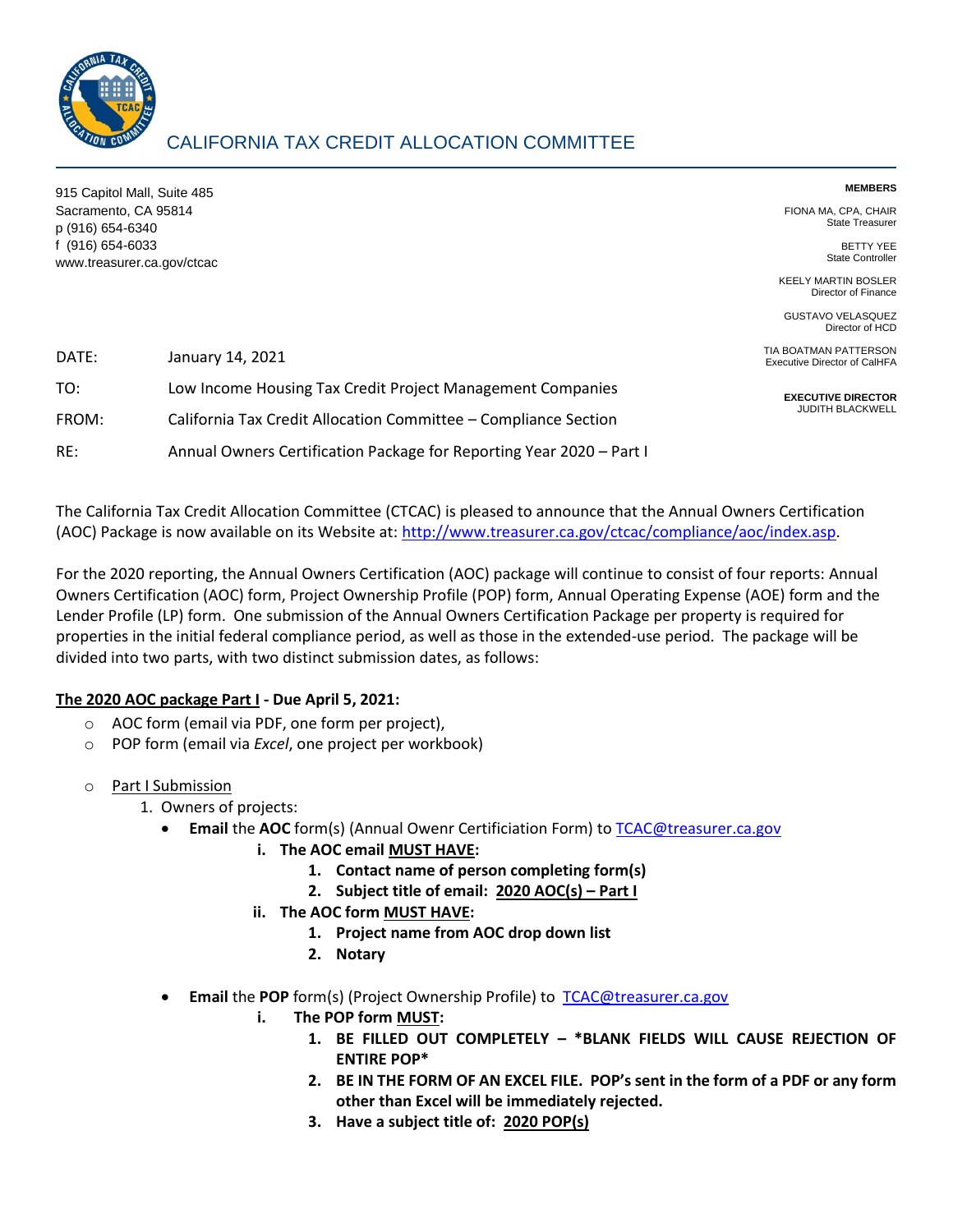

## CALIFORNIA TAX CREDIT ALLOCATION COMMITTEE

915 Capitol Mall, Suite 485 Sacramento, CA 95814 p (916) 654-6340 f (916) 654-6033 www.treasurer.ca.gov/ctcac **MEMBERS**

FIONA MA, CPA, CHAIR State Treasurer

> BETTY YEE State Controller

KEELY MARTIN BOSLER Director of Finance

GUSTAVO VELASQUEZ Director of HCD

TIA BOATMAN PATTERSON Executive Director of CalHFA

**EXECUTIVE DIRECTOR** JUDITH BLACKWELL

| DATE: | January 14, 2021                                                     |
|-------|----------------------------------------------------------------------|
| TO:   | Low Income Housing Tax Credit Project Management Companies           |
| FROM: | California Tax Credit Allocation Committee - Compliance Section      |
| RE:   | Annual Owners Certification Package for Reporting Year 2020 - Part I |

The California Tax Credit Allocation Committee (CTCAC) is pleased to announce that the Annual Owners Certification (AOC) Package is now available on its Website at: [http://www.treasurer.ca.gov/ctcac/compliance/aoc/index.asp.](http://www.treasurer.ca.gov/ctcac/compliance/aoc/index.asp)

For the 2020 reporting, the Annual Owners Certification (AOC) package will continue to consist of four reports: Annual Owners Certification (AOC) form, Project Ownership Profile (POP) form, Annual Operating Expense (AOE) form and the Lender Profile (LP) form. One submission of the Annual Owners Certification Package per property is required for properties in the initial federal compliance period, as well as those in the extended-use period. The package will be divided into two parts, with two distinct submission dates, as follows:

## **The 2020 AOC package Part I - Due April 5, 2021:**

- o AOC form (email via PDF, one form per project),
- o POP form (email via *Excel*, one project per workbook)
- o Part I Submission
	- 1. Owners of projects:
		- **Email** the **AOC** form(s) (Annual Owenr Certificiation Form) to [TCAC@treasurer.ca.gov](mailto:TCAC@treasurer.ca.gov)
			- **i. The AOC email MUST HAVE:**
				- **1. Contact name of person completing form(s)**
				- **2.** Subject title of email: **2020 AOC(s)** Part I
			- **ii. The AOC form MUST HAVE:**
				- **1. Project name from AOC drop down list**
				- **2. Notary**
		- **Email** the **POP** form(s) (Project Ownership Profile) to [TCAC@treasurer.ca.gov](mailto:TCAC@treasurer.ca.gov)
			- **i. The POP form MUST:**
				- **1. BE FILLED OUT COMPLETELY – \*BLANK FIELDS WILL CAUSE REJECTION OF ENTIRE POP\***
				- **2. BE IN THE FORM OF AN EXCEL FILE. POP's sent in the form of a PDF or any form other than Excel will be immediately rejected.**
				- **3. Have a subject title of: 2020 POP(s)**